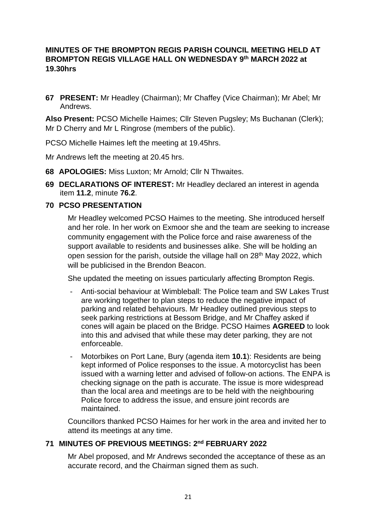## **MINUTES OF THE BROMPTON REGIS PARISH COUNCIL MEETING HELD AT BROMPTON REGIS VILLAGE HALL ON WEDNESDAY 9 th MARCH 2022 at 19.30hrs**

**67 PRESENT:** Mr Headley (Chairman); Mr Chaffey (Vice Chairman); Mr Abel; Mr Andrews.

**Also Present:** PCSO Michelle Haimes; Cllr Steven Pugsley; Ms Buchanan (Clerk); Mr D Cherry and Mr L Ringrose (members of the public).

PCSO Michelle Haimes left the meeting at 19.45hrs.

Mr Andrews left the meeting at 20.45 hrs.

- **68 APOLOGIES:** Miss Luxton; Mr Arnold; Cllr N Thwaites.
- **69 DECLARATIONS OF INTEREST:** Mr Headley declared an interest in agenda item **11.2**, minute **76.2**.

### **70 PCSO PRESENTATION**

Mr Headley welcomed PCSO Haimes to the meeting. She introduced herself and her role. In her work on Exmoor she and the team are seeking to increase community engagement with the Police force and raise awareness of the support available to residents and businesses alike. She will be holding an open session for the parish, outside the village hall on 28<sup>th</sup> May 2022, which will be publicised in the Brendon Beacon.

She updated the meeting on issues particularly affecting Brompton Regis.

- Anti-social behaviour at Wimbleball: The Police team and SW Lakes Trust are working together to plan steps to reduce the negative impact of parking and related behaviours. Mr Headley outlined previous steps to seek parking restrictions at Bessom Bridge, and Mr Chaffey asked if cones will again be placed on the Bridge. PCSO Haimes **AGREED** to look into this and advised that while these may deter parking, they are not enforceable.
- Motorbikes on Port Lane, Bury (agenda item **10.1**): Residents are being kept informed of Police responses to the issue. A motorcyclist has been issued with a warning letter and advised of follow-on actions. The ENPA is checking signage on the path is accurate. The issue is more widespread than the local area and meetings are to be held with the neighbouring Police force to address the issue, and ensure joint records are maintained.

Councillors thanked PCSO Haimes for her work in the area and invited her to attend its meetings at any time.

### **71 MINUTES OF PREVIOUS MEETINGS: 2 nd FEBRUARY 2022**

Mr Abel proposed, and Mr Andrews seconded the acceptance of these as an accurate record, and the Chairman signed them as such.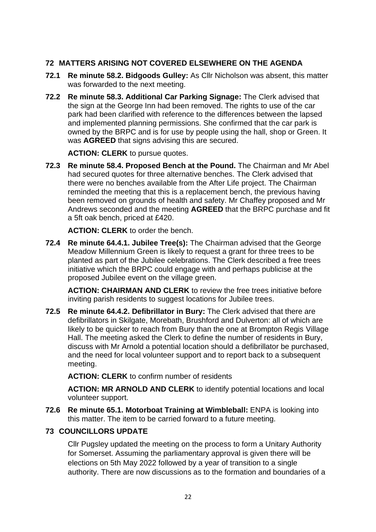# **72 MATTERS ARISING NOT COVERED ELSEWHERE ON THE AGENDA**

- **72.1 Re minute 58.2. Bidgoods Gulley:** As Cllr Nicholson was absent, this matter was forwarded to the next meeting.
- **72.2 Re minute 58.3. Additional Car Parking Signage:** The Clerk advised that the sign at the George Inn had been removed. The rights to use of the car park had been clarified with reference to the differences between the lapsed and implemented planning permissions. She confirmed that the car park is owned by the BRPC and is for use by people using the hall, shop or Green. It was **AGREED** that signs advising this are secured.

**ACTION: CLERK** to pursue quotes.

**72.3 Re minute 58.4. Proposed Bench at the Pound.** The Chairman and Mr Abel had secured quotes for three alternative benches. The Clerk advised that there were no benches available from the After Life project. The Chairman reminded the meeting that this is a replacement bench, the previous having been removed on grounds of health and safety. Mr Chaffey proposed and Mr Andrews seconded and the meeting **AGREED** that the BRPC purchase and fit a 5ft oak bench, priced at £420.

**ACTION: CLERK** to order the bench.

**72.4 Re minute 64.4.1. Jubilee Tree(s):** The Chairman advised that the George Meadow Millennium Green is likely to request a grant for three trees to be planted as part of the Jubilee celebrations. The Clerk described a free trees initiative which the BRPC could engage with and perhaps publicise at the proposed Jubilee event on the village green.

**ACTION: CHAIRMAN AND CLERK** to review the free trees initiative before inviting parish residents to suggest locations for Jubilee trees.

**72.5 Re minute 64.4.2. Defibrillator in Bury:** The Clerk advised that there are defibrillators in Skilgate, Morebath, Brushford and Dulverton: all of which are likely to be quicker to reach from Bury than the one at Brompton Regis Village Hall. The meeting asked the Clerk to define the number of residents in Bury, discuss with Mr Arnold a potential location should a defibrillator be purchased, and the need for local volunteer support and to report back to a subsequent meeting.

**ACTION: CLERK** to confirm number of residents

**ACTION: MR ARNOLD AND CLERK** to identify potential locations and local volunteer support.

**72.6 Re minute 65.1. Motorboat Training at Wimbleball:** ENPA is looking into this matter. The item to be carried forward to a future meeting.

## **73 COUNCILLORS UPDATE**

Cllr Pugsley updated the meeting on the process to form a Unitary Authority for Somerset. Assuming the parliamentary approval is given there will be elections on 5th May 2022 followed by a year of transition to a single authority. There are now discussions as to the formation and boundaries of a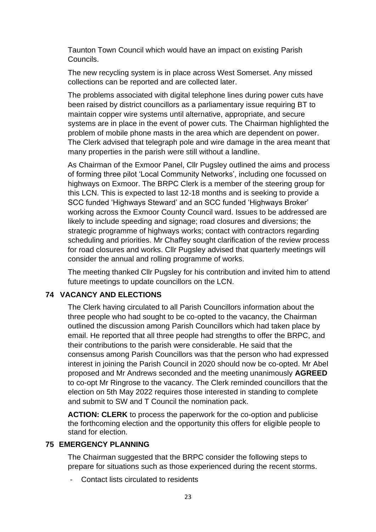Taunton Town Council which would have an impact on existing Parish Councils.

The new recycling system is in place across West Somerset. Any missed collections can be reported and are collected later.

The problems associated with digital telephone lines during power cuts have been raised by district councillors as a parliamentary issue requiring BT to maintain copper wire systems until alternative, appropriate, and secure systems are in place in the event of power cuts. The Chairman highlighted the problem of mobile phone masts in the area which are dependent on power. The Clerk advised that telegraph pole and wire damage in the area meant that many properties in the parish were still without a landline.

As Chairman of the Exmoor Panel, Cllr Pugsley outlined the aims and process of forming three pilot 'Local Community Networks', including one focussed on highways on Exmoor. The BRPC Clerk is a member of the steering group for this LCN. This is expected to last 12-18 months and is seeking to provide a SCC funded 'Highways Steward' and an SCC funded 'Highways Broker' working across the Exmoor County Council ward. Issues to be addressed are likely to include speeding and signage; road closures and diversions; the strategic programme of highways works; contact with contractors regarding scheduling and priorities. Mr Chaffey sought clarification of the review process for road closures and works. Cllr Pugsley advised that quarterly meetings will consider the annual and rolling programme of works.

The meeting thanked Cllr Pugsley for his contribution and invited him to attend future meetings to update councillors on the LCN.

### **74 VACANCY AND ELECTIONS**

The Clerk having circulated to all Parish Councillors information about the three people who had sought to be co-opted to the vacancy, the Chairman outlined the discussion among Parish Councillors which had taken place by email. He reported that all three people had strengths to offer the BRPC, and their contributions to the parish were considerable. He said that the consensus among Parish Councillors was that the person who had expressed interest in joining the Parish Council in 2020 should now be co-opted. Mr Abel proposed and Mr Andrews seconded and the meeting unanimously **AGREED** to co-opt Mr Ringrose to the vacancy. The Clerk reminded councillors that the election on 5th May 2022 requires those interested in standing to complete and submit to SW and T Council the nomination pack.

**ACTION: CLERK** to process the paperwork for the co-option and publicise the forthcoming election and the opportunity this offers for eligible people to stand for election.

### **75 EMERGENCY PLANNING**

The Chairman suggested that the BRPC consider the following steps to prepare for situations such as those experienced during the recent storms.

Contact lists circulated to residents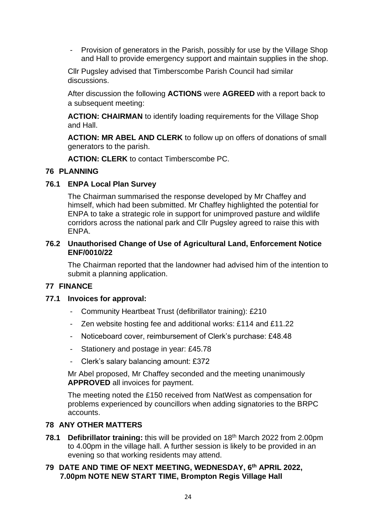- Provision of generators in the Parish, possibly for use by the Village Shop and Hall to provide emergency support and maintain supplies in the shop.

Cllr Pugsley advised that Timberscombe Parish Council had similar discussions.

After discussion the following **ACTIONS** were **AGREED** with a report back to a subsequent meeting:

**ACTION: CHAIRMAN** to identify loading requirements for the Village Shop and Hall.

**ACTION: MR ABEL AND CLERK** to follow up on offers of donations of small generators to the parish.

**ACTION: CLERK** to contact Timberscombe PC.

# **76 PLANNING**

## **76.1 ENPA Local Plan Survey**

The Chairman summarised the response developed by Mr Chaffey and himself, which had been submitted. Mr Chaffey highlighted the potential for ENPA to take a strategic role in support for unimproved pasture and wildlife corridors across the national park and Cllr Pugsley agreed to raise this with ENPA.

### **76.2 Unauthorised Change of Use of Agricultural Land, Enforcement Notice ENF/0010/22**

The Chairman reported that the landowner had advised him of the intention to submit a planning application.

## **77 FINANCE**

## **77.1 Invoices for approval:**

- Community Heartbeat Trust (defibrillator training): £210
- Zen website hosting fee and additional works: £114 and £11.22
- Noticeboard cover, reimbursement of Clerk's purchase: £48.48
- Stationery and postage in year: £45.78
- Clerk's salary balancing amount: £372

Mr Abel proposed, Mr Chaffey seconded and the meeting unanimously **APPROVED** all invoices for payment.

The meeting noted the £150 received from NatWest as compensation for problems experienced by councillors when adding signatories to the BRPC accounts.

## **78 ANY OTHER MATTERS**

**78.1 Defibrillator training:** this will be provided on 18th March 2022 from 2.00pm to 4.00pm in the village hall. A further session is likely to be provided in an evening so that working residents may attend.

### **79 DATE AND TIME OF NEXT MEETING, WEDNESDAY, 6 th APRIL 2022, 7.00pm NOTE NEW START TIME, Brompton Regis Village Hall**